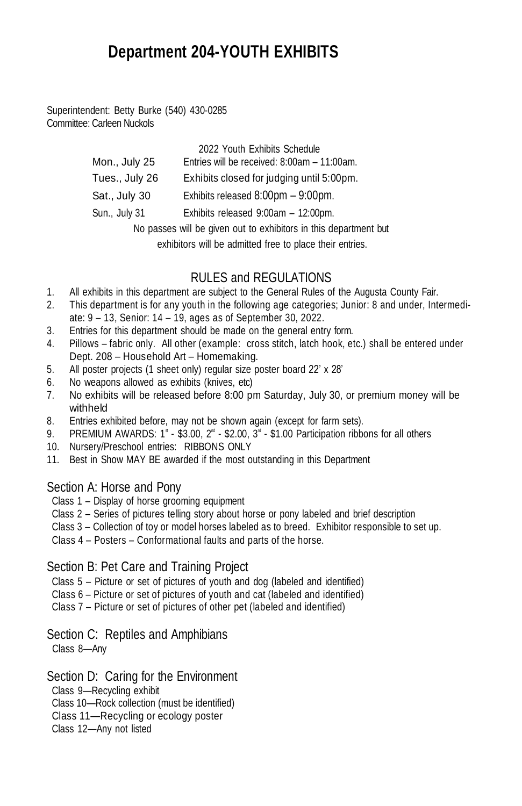# **Department 204-YOUTH EXHIBITS**

Superintendent: Betty Burke (540) 430-0285 Committee: Carleen Nuckols

|                | 2022 Youth Exhibits Schedule                                     |
|----------------|------------------------------------------------------------------|
| Mon., July 25  | Entries will be received: 8:00am - 11:00am.                      |
| Tues., July 26 | Exhibits closed for judging until 5:00pm.                        |
| Sat., July 30  | Exhibits released $8:00 \text{pm} - 9:00 \text{pm}$ .            |
| Sun., July 31  | Exhibits released 9:00am - 12:00pm.                              |
|                | No passes will be given out to exhibitors in this department but |

exhibitors will be admitted free to place their entries.

# RULES and REGULATIONS

- 1. All exhibits in this department are subject to the General Rules of the Augusta County Fair.
- 2. This department is for any youth in the following age categories; Junior: 8 and under, Intermediate: 9 – 13, Senior: 14 – 19, ages as of September 30, 2022.
- 3. Entries for this department should be made on the general entry form.
- 4. Pillows fabric only. All other (example: cross stitch, latch hook, etc.) shall be entered under Dept. 208 – Household Art – Homemaking.
- 5. All poster projects (1 sheet only) regular size poster board 22' x 28'
- 6. No weapons allowed as exhibits (knives, etc)
- 7. No exhibits will be released before 8:00 pm Saturday, July 30, or premium money will be withheld
- 8. Entries exhibited before, may not be shown again (except for farm sets).
- 9. PREMIUM AWARDS:  $1^*$  \$3.00,  $2^*$  \$2.00,  $3^*$  \$1.00 Participation ribbons for all others
- 10. Nursery/Preschool entries: RIBBONS ONLY
- 11. Best in Show MAY BE awarded if the most outstanding in this Department

#### Section A: Horse and Pony

- Class 1 Display of horse grooming equipment
- Class 2 Series of pictures telling story about horse or pony labeled and brief description
- Class 3 Collection of toy or model horses labeled as to breed. Exhibitor responsible to set up.
- Class 4 Posters Conformational faults and parts of the horse.

## Section B: Pet Care and Training Project

- Class 5 Picture or set of pictures of youth and dog (labeled and identified)
- Class 6 Picture or set of pictures of youth and cat (labeled and identified)
- Class 7 Picture or set of pictures of other pet (labeled and identified)

## Section C: Reptiles and Amphibians

Class 8—Any

## Section D: Caring for the Environment

Class 9—Recycling exhibit

Class 10—Rock collection (must be identified)

Class 11—Recycling or ecology poster

Class 12—Any not listed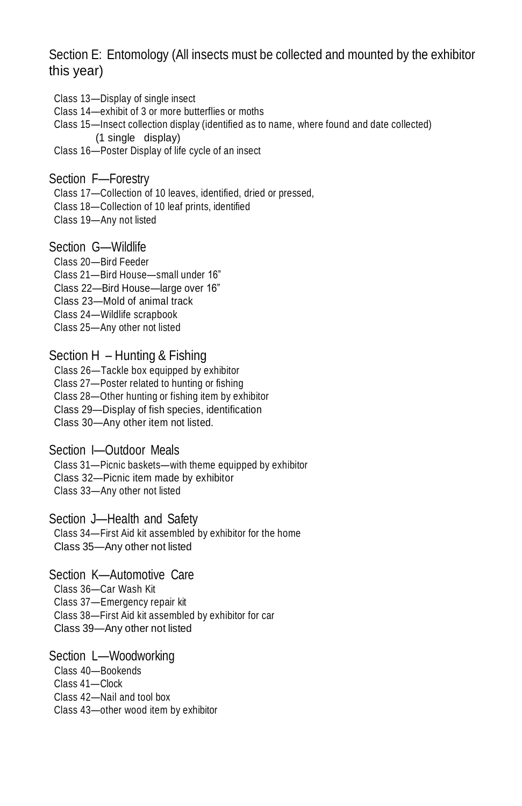Section E: Entomology (All insects must be collected and mounted by the exhibitor this year)

- Class 13—Display of single insect
- Class 14—exhibit of 3 or more butterflies or moths
- Class 15—Insect collection display (identified as to name, where found and date collected) (1 single display)
- Class 16—Poster Display of life cycle of an insect

#### Section F—Forestry

Class 17—Collection of 10 leaves, identified, dried or pressed,

- Class 18—Collection of 10 leaf prints, identified
- Class 19—Any not listed

## Section G—Wildlife

- Class 20—Bird Feeder
- Class 21—Bird House—small under 16"
- Class 22—Bird House—large over 16"
- Class 23—Mold of animal track
- Class 24—Wildlife scrapbook
- Class 25—Any other not listed

#### Section H – Hunting & Fishing

- Class 26—Tackle box equipped by exhibitor
- Class 27—Poster related to hunting or fishing
- Class 28—Other hunting or fishing item by exhibitor
- Class 29—Display of fish species, identification
- Class 30—Any other item not listed.

### Section I—Outdoor Meals

- Class 31—Picnic baskets—with theme equipped by exhibitor
- Class 32—Picnic item made by exhibitor
- Class 33—Any other not listed

#### Section J—Health and Safety

Class 34—First Aid kit assembled by exhibitor for the home Class 35—Any other not listed

#### Section K—Automotive Care

Class 36—Car Wash Kit

- Class 37—Emergency repair kit
- Class 38—First Aid kit assembled by exhibitor for car
- Class 39—Any other not listed

## Section L—Woodworking

- Class 40—Bookends
- Class 41—Clock
- Class 42—Nail and tool box
- Class 43—other wood item by exhibitor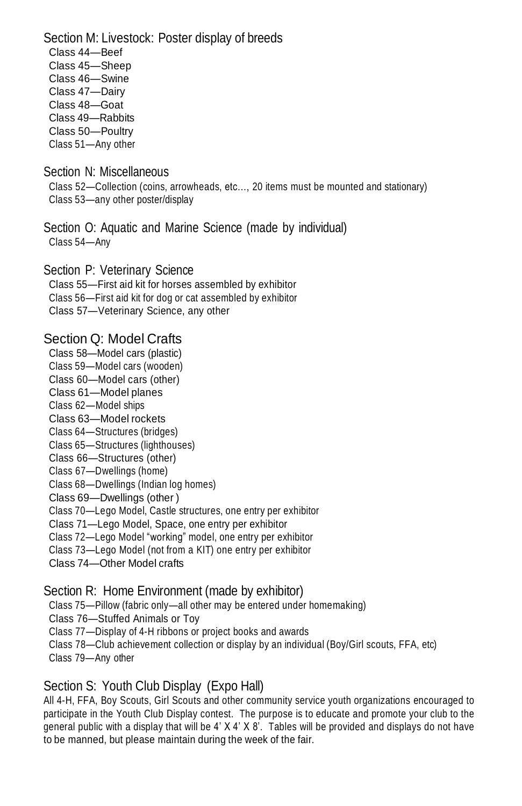Section M: Livestock: Poster display of breeds Class 44—Beef Class 45—Sheep Class 46—Swine Class 47—Dairy Class 48—Goat Class 49—Rabbits Class 50—Poultry Class 51—Any other

Section N: Miscellaneous Class 52—Collection (coins, arrowheads, etc…, 20 items must be mounted and stationary)

Class 53—any other poster/display

Section O: Aquatic and Marine Science (made by individual) Class 54—Any

Section P: Veterinary Science Class 55—First aid kit for horses assembled by exhibitor

Class 56—First aid kit for dog or cat assembled by exhibitor

Class 57—Veterinary Science, any other

## Section Q: Model Crafts

Class 58—Model cars (plastic)

Class 59—Model cars (wooden)

Class 60—Model cars (other)

- Class 61—Model planes
- Class 62—Model ships
- Class 63—Model rockets

Class 64—Structures (bridges)

Class 65—Structures (lighthouses)

Class 66—Structures (other)

Class 67—Dwellings (home)

Class 68—Dwellings (Indian log homes)

Class 69—Dwellings (other )

Class 70—Lego Model, Castle structures, one entry per exhibitor

Class 71—Lego Model, Space, one entry per exhibitor

Class 72—Lego Model "working" model, one entry per exhibitor

- Class 73—Lego Model (not from a KIT) one entry per exhibitor
- Class 74—Other Model crafts

## Section R: Home Environment (made by exhibitor)

Class 75—Pillow (fabric only—all other may be entered under homemaking)

Class 76—Stuffed Animals or Toy

Class 77—Display of 4-H ribbons or project books and awards

Class 78—Club achievement collection or display by an individual (Boy/Girl scouts, FFA, etc)

Class 79—Any other

# Section S: Youth Club Display (Expo Hall)

All 4-H, FFA, Boy Scouts, Girl Scouts and other community service youth organizations encouraged to participate in the Youth Club Display contest. The purpose is to educate and promote your club to the general public with a display that will be  $4'$   $\times$   $4'$   $\times$   $8'$ . Tables will be provided and displays do not have to be manned, but please maintain during the week of the fair.